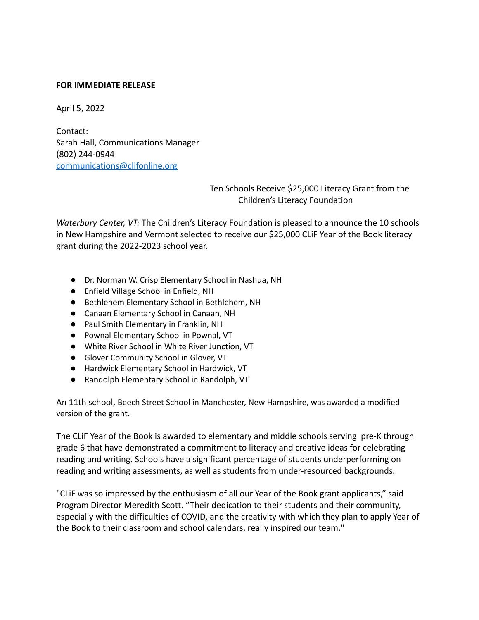## **FOR IMMEDIATE RELEASE**

April 5, 2022

Contact: Sarah Hall, Communications Manager (802) 244-0944 [communications@clifonline.org](mailto:communications@clifonline.org)

> Ten Schools Receive \$25,000 Literacy Grant from the Children's Literacy Foundation

*Waterbury Center, VT:* The Children's Literacy Foundation is pleased to announce the 10 schools in New Hampshire and Vermont selected to receive our \$25,000 CLiF Year of the Book literacy grant during the 2022-2023 school year.

- Dr. Norman W. Crisp Elementary School in Nashua, NH
- Enfield Village School in Enfield, NH
- Bethlehem Elementary School in Bethlehem, NH
- Canaan Elementary School in Canaan, NH
- Paul Smith Elementary in Franklin, NH
- Pownal Elementary School in Pownal, VT
- White River School in White River Junction, VT
- Glover Community School in Glover, VT
- Hardwick Elementary School in Hardwick, VT
- Randolph Elementary School in Randolph, VT

An 11th school, Beech Street School in Manchester, New Hampshire, was awarded a modified version of the grant.

The CLiF Year of the Book is awarded to elementary and middle schools serving pre-K through grade 6 that have demonstrated a commitment to literacy and creative ideas for celebrating reading and writing. Schools have a significant percentage of students underperforming on reading and writing assessments, as well as students from under-resourced backgrounds.

"CLiF was so impressed by the enthusiasm of all our Year of the Book grant applicants," said Program Director Meredith Scott. "Their dedication to their students and their community, especially with the difficulties of COVID, and the creativity with which they plan to apply Year of the Book to their classroom and school calendars, really inspired our team."